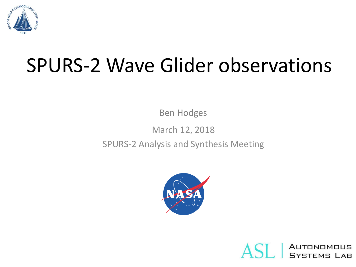

# SPURS-2 Wave Glider observations

Ben Hodges

March 12, 2018

SPURS-2 Analysis and Synthesis Meeting



Autonomous<br>Systems Lab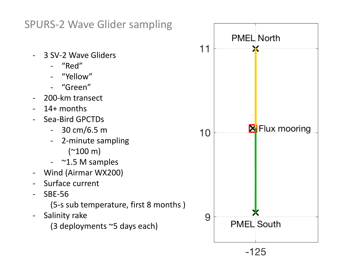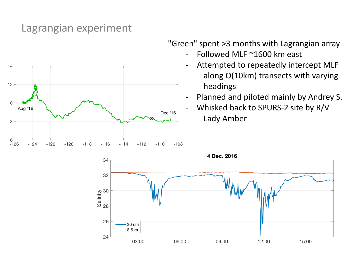### Lagrangian experiment



"Green" spent >3 months with Lagrangian array

- Followed MLF ~1600 km east
- Attempted to repeatedly intercept MLF along O(10km) transects with varying headings
- Planned and piloted mainly by Andrey S.
- Whisked back to SPURS-2 site by R/V Lady Amber

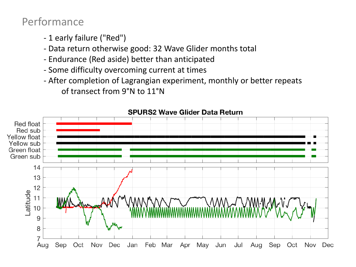## Performance

- 1 early failure ("Red")
- Data return otherwise good: 32 Wave Glider months total
- Endurance (Red aside) better than anticipated
- Some difficulty overcoming current at times
- After completion of Lagrangian experiment, monthly or better repeats of transect from 9°N to 11°N



**SPURS2 Wave Glider Data Return**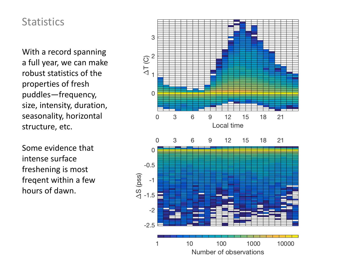#### **Statistics**

With a record spanning a full year, we can make robust statistics of the properties of fresh puddles—frequency, size, intensity, duration, seasonality, horizontal structure, etc.

Some evidence that intense surface freshening is most freqent within a few hours of dawn.

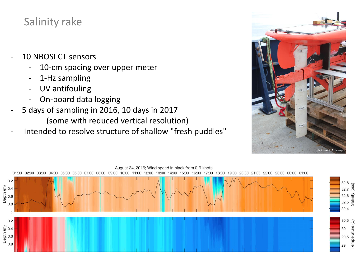# Salinity rake

- 10 NBOSI CT sensors
	- 10-cm spacing over upper meter
	- 1-Hz sampling
	- UV antifouling
	- On-board data logging
- 5 days of sampling in 2016, 10 days in 2017 (some with reduced vertical resolution)
- Intended to resolve structure of shallow "fresh puddles"